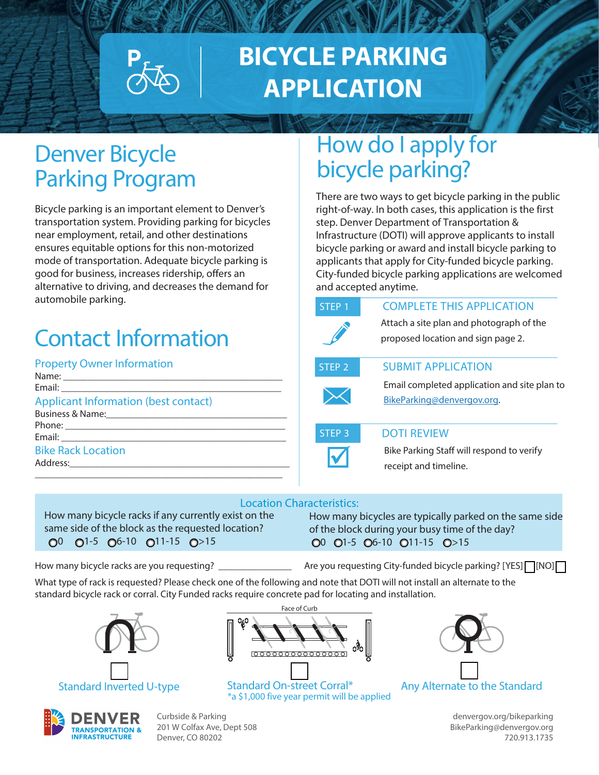# **BICYCLE PARKING APPLICATION**

### Denver Bicycle Parking Program

Bicycle parking is an important element to Denver's transportation system. Providing parking for bicycles near employment, retail, and other destinations ensures equitable options for this non-motorized mode of transportation. Adequate bicycle parking is good for business, increases ridership, offers an alternative to driving, and decreases the demand for automobile parking.

# Contact Information

### Property Owner Information

| <b>Applicant Information (best contact)</b> |
|---------------------------------------------|
|                                             |
|                                             |
|                                             |
| <b>Bike Rack Location</b>                   |
|                                             |
|                                             |

### How do I apply for bicycle parking?

There are two ways to get bicycle parking in the public right-of-way. In both cases, this application is the first step. Denver Department of Transportation & Infrastructure (DOTI) will approve applicants to install bicycle parking or award and install bicycle parking to applicants that apply for City-funded bicycle parking. City-funded bicycle parking applications are welcomed and accepted anytime.

| STEP <sub>1</sub> | <b>COMPLETE THIS APPLICATION</b>                                               |
|-------------------|--------------------------------------------------------------------------------|
|                   | Attach a site plan and photograph of the<br>proposed location and sign page 2. |
| STEP <sub>2</sub> | <b>SUBMIT APPLICATION</b>                                                      |
|                   | Email completed application and site pla                                       |
|                   | BikeParking@denvergov.org.                                                     |

#### **STEP 3** DOTI REVIEW

Bike Parking Staff will respond to verify receipt and timeline.

plan to

#### Location Characteristics:

same side of the block as the requested location? of the block during your busy time of the day?  $0^0$   $0^{1-5}$   $0^{6-10}$   $0^{11-15}$   $0^{>15}$   $0^{15}$   $0^{11-15}$   $0^{11-15}$   $0^{>15}$ 

How many bicycle racks if any currently exist on the How many bicycles are typically parked on the same side

How many bicycle racks are you requesting? \_\_\_\_\_\_\_\_\_\_\_\_\_\_\_ Are you requesting City-funded bicycle parking? [YES] or [NO]

What type of rack is requested? Please check one of the following and note that DOTI will not install an alternate to the standard bicycle rack or corral. City Funded racks require concrete pad for locating and installation.



Face of Curb

Standard Inverted U-type Standard On-street Corral\* Any Alternate to the Standard \*a \$1,000 five year permit will be applied





Curbside & Parking [denvergov.org/bikeparking](https://denvergov.org/bikeparking)  201 W Colfax Ave, Dept 508 [BikeParking@denvergov.org](mailto:BikeParking@denvergov.org) BikeParking@denvergov.org Denver, CO 80202 720.913.1735